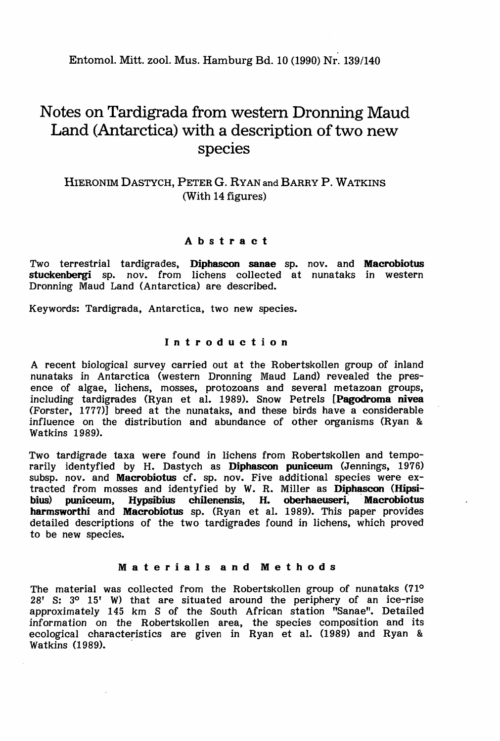Entomol. Mitt. zool. Mus. Hamburg Bd. 10 (1990) Nr. 139/140

# Notes on Tardigrada from western Dronning Maud Land (Antarctica) with a description of two new species

# HIERONIM DASTYCH, PETER G. RYAN and BARRY P. WATKINS (With 14 figures)

## Abstract

Two terrestrial tardigrades, Diphascon sanae sp. nov. and Macrobiotus stuckenbergi sp. nov. from lichens collected at nunataks in western Dronning Maud Land (Antarctica) are described.

Keywords: Tardigrada, Antarctica, two new species.

# Introduction

A recent biological survey carried out at the Robertskollen group of inland nunataks in Antarctica (western Dronning Maud Land) revealed the presence of algae, lichens, mosses, protozoans and several metazoan groups, including tardigrades (Ryan et al. 1989). Snow Petrels [Pagodroma nivea (Forster, 1777)] breed at the nunataks, and these birds have a considerable influence on the distribution and abundance of other organisms (Ryan & Watkins 1989).

Two tardigrade taxa were found in lichens from Robertskollen and temporarily identyfied by H. Dastych as Diphascon puniceum (Jennings, 1976) subsp. nov. and Macrobiotus cf. sp. nov. Five additional species were extracted from mosses and identyfied by W. R. Miller as **Diphascon (Hipsi-**<br>bius) puniceum. Hypsibius chilenensis. H. oberhaeuseri. Macrobiotus puniceum, Hypsibius chilenensis, H. oberhaeuseri, Macrobiotus harmsworthi and Macrobiotus sp. (Ryan et al. 1989). This paper provides detailed descriptions of the two tardigrades found in lichens, which proved to be new species.

### Materials and Methods

The material was collected from the Robertskollen group of nunataks (710 28' s: 30 15' W) that are situated around the periphery of an ice-rise approximately 145 km S of the South African station "Sanae". Detailed information on the Robertskollen area, the species composition and its ecological characteristics are given in Ryan et al. (1989) and Ryan & Watkins (1989).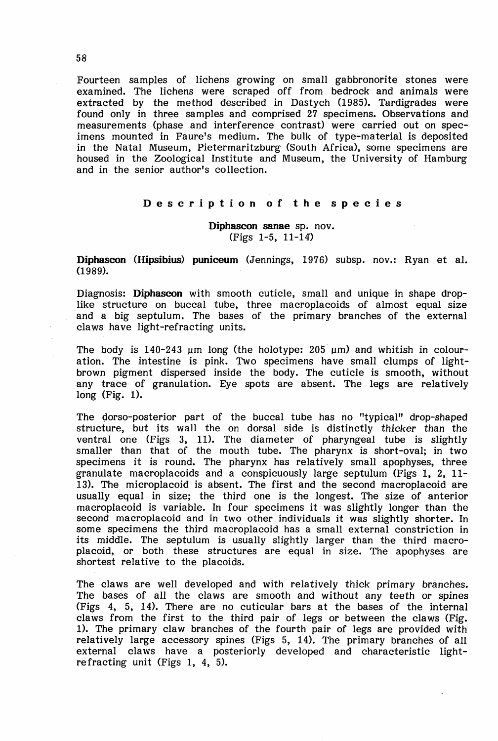Fourteen samples of lichens growing on small gabbronorite stones were examined. The lichens were scraped off from bedrock and animals were extracted by the method described in Dastych (1985). Tardigrades were found only in three samples and comprised 27 specimens. Observations and measurements (phase and interference contrast) were carried out on specimens mounted in Faure's medium. The bulk of type-material is deposited in the Natal Museum, Pietermaritzburg (South Africa), some specimens are housed in the Zoological Institute and Museum, the University of Hamburg and in the senior author's cOllection.

### Description of the species

Diphascon sanae sp. nov. (Figs 1-5, 11-14')

Diphascon (Hipsibius) puniceum (Jennings, 1976) subsp. nov.: Ryan et al. (1989).

Diagnosis: Diphascon with smooth cuticle, small and unique in shape droplike structure on buccal tube, three macroplacoids of almost equal size and a big septulum. The bases of the primary branches of the external cIaws have light-refracting units.

The body is 140-243  $\mu$ m long (the holotype: 205  $\mu$ m) and whitish in colouration. The intestine is pink. Two specimens have small clumps of lightbrown pigment dispersed inside the body. The cuticle is smooth, without any trace of granulation. Eye spots are absent. The legs are relatively long (Fig. 1).

The dorso-posterior part of the buccal tube has no "typical" drop-shaped structure, but its wall the on dorsal side is distinctly thicker than the ventral one (Figs 3, 11). The diameter of pharyngeal tube is slightly smaller than that of the mouth tube. The pharynx is short-oval; in two specimens it is round. The pharynx has relatively small apophyses, three granulate macroplacoids and a conspicuously large septulum (Figs 1, 2, 11- 13). The microplacoid is absent. The first and the second macroplacoid are usually equal in size; the third one is the longest. The size of anterior macroplacoid is variable. In four specimens it was slightly longer than the second macroplacoid and in two other individuals it was slightly shorter. In some specimens the third macroplacoid has a small external constriction in its middle. The septulum is usually slightly larger than the third macroplacoid, or both these structures are equal in size. The apophyses are shortest relative to the placoids.

The claws are well developed and with relatively thick primary branches. The bases of all the claws are smooth and without any teeth or spines (Figs 4, 5, 14). There are no cuticular bars at the bases of the internal cIaws from the first to the third pair of legs or between the claws (Fig. 1). The primary claw branches of the fourth pair of legs are provided with relatively large accessory spines (Figs 5, 14). The primary branches of all external claws have a posteriorly developed and characteristic lightrefracting unit (Figs 1, 4, 5).

58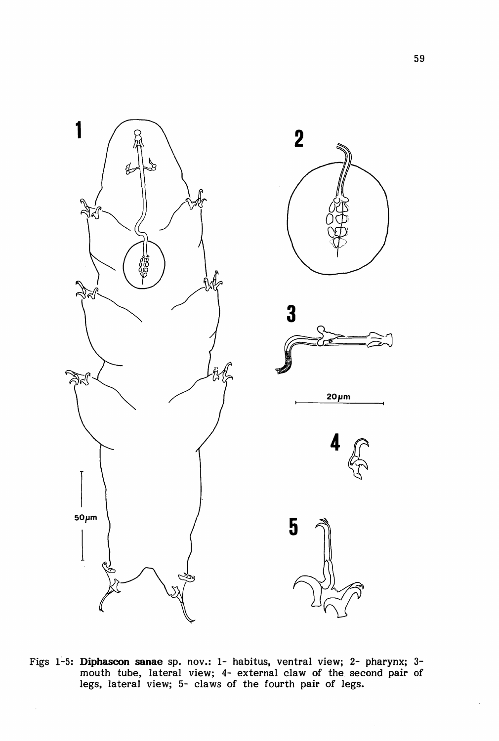

Figs 1-5: Diphascon sanae sp. nov.: 1- habitus, ventral view; 2- pharynx; 3mouth tube, lateral view; 4- external claw of the second pair of legs, lateral view; 5- claws of the fourth pair of legs.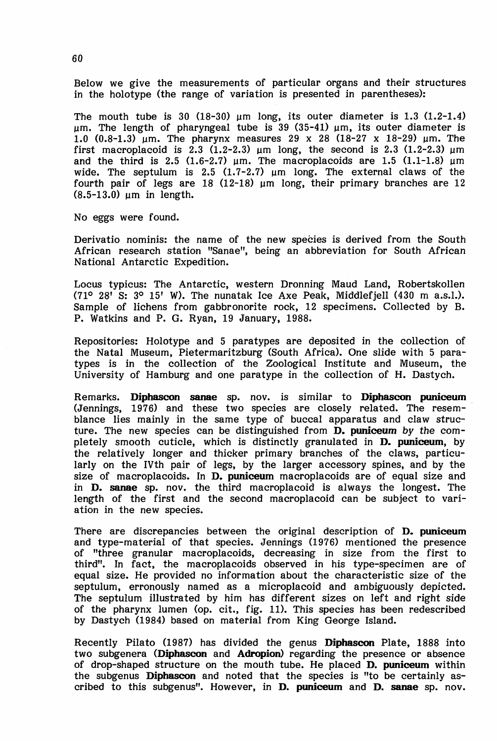Below we give the measurements of particular organs and their structures in the holotype (the range of variation is presented in parentheses):

The mouth tube is 30  $(18-30)$  um long, its outer diameter is 1.3  $(1.2-1.4)$ um. The length of pharyngeal tube is 39 (35-41)  $\mu$ m, its outer diameter is 1.0  $(0.8-1.3)$  um. The pharynx measures 29 x 28  $(18-27 \times 18-29)$  um. The first macroplacoid is 2.3 (1.2-2.3)  $\mu$ m long, the second is 2.3 (1.2-2.3)  $\mu$ m and the third is 2.5 (1.6-2.7)  $\mu$ m. The macroplacoids are 1.5 (1.1-1.8)  $\mu$ m wide. The septulum is 2.5 (1.7-2.7)  $\mu$ m long. The external claws of the fourth pair of legs are 18 (12-18)  $\mu$ m long, their primary branches are 12  $(8.5-13.0)$  um in length.

No eggs were found.

Derivatio nominis: the name of the new species is derived from the South African research station "Sanae", being an abbreviation for South African National Antarctic Expedition.

Locus typicus: The Antarctic, western Dronning Maud Land, Robertskollen  $(71^{\circ} 28' S: 3^{\circ} 15' W)$ . The nunatak Ice Axe Peak, Middlefjell  $(430 m a.s.1)$ . Sample of lichens from gabbronorite rock, 12 specimens. Collected by B. P. Watkins and P. G. Ryan, 19 January, 1988.

Repositories: Holotype and 5 paratypes are deposited in the collection of the Natal Museum, Pietermaritzburg (South Africa). One slide with 5 paratypes is in the collection of the Zoological Institute and Museum, the University of Hamburg and one paratype in the collection of H. Dastych.

Remarks. Diphascon sanae sp. nov. is similar to Diphascon puniceum (Jennings, 1976) and these two species are closely related. The resem- . blance lies mainly in the same type of buccal apparatus and claw structure. The new species can be distinguished from D. puniceum by the completely smooth cuticle, which is distinctly granulated in D. puniceum, by the relatively longer and thicker primary branches of the claws, particularly on the IVth pair of legs, by the larger accessory spines, and by the size of macroplacoids. In D. puniceum macroplacoids are of equal size and in D. sanae sp. nov. the third macroplacoid is always the longest. The length of the first and the second macroplacoid can be subject to variation in the new species.

There are discrepancies between the original description of **D. puniceum** and type-material of that species. Jennings (1976) mentioned the presence of "three granular macroplacoids, decreasing in size from the first to third". In fact, the macroplacoids observed in his type-specimen are of equal size. He provided no information about the characteristic size of the septulum, erronously named as a microplacoid and ambiguously depicted. The septulum illustrated by him has different sizes on left and right side of the pharynx lumen (op. cit., fig. 11). This species has been redescribed by Dastych (1984) based on material from King George Island.

Recently Pilato (1987) has divided the genus Diphascon Plate, 1888 into two subgenera (Diphascon and Adropion) regarding the presence or absence of drop-shaped structure on the mouth tube. He placed D. puniceum within the subgenus Diphascon and noted that the species is "to be certainly ascribed to this subgenus". However, in D. puniceum and D. sanae sp. nov.

60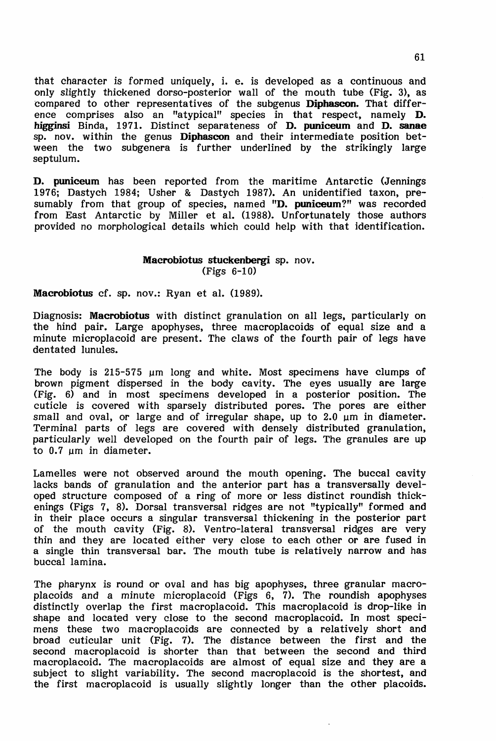that character is formed uniquely, i. e. is developed as a continuous and only slightly thickened dorso-posterior wall of the mouth tube (Fig. 3), as compared to other representatives of the subgenus Diphascon. That difference comprises also an "atypical" species in that respect, namely **D.** higginsi Binda, 1971. Distinct separateness of **D. puniceum** and **D. sanae** sp. nov. within the genus Diphascon and their intermediate position between the two subgenera is further underlined by the strikingly large septulum.

D. puniceum has been reported from the maritime Antarctic (Jennings 1976; Dastych 1984; Usher & Dastych 1987). An unidentified taxon, presumably from that group of species, named "D. puniceum?" was recorded from East Antarctic by Miller et al. (1988). Unfortunately those authors provided no morphological details which could help w'ith that identification.

# **Macrobiotus stuckenbergi sp. nov.** (Figs  $6-10$ )

Macrobiotus cf. sp. nov.: Ryan et al. (1989).

Diagnosis: Macrobiotus with distinct granulation on all legs, particularly on the hind pair. Large apophyses, three macroplacoids of equal size and a minute microplacoid are present. The claws of the fourth pair of legs have dentated lunules.

The body is 215-575  $\mu$ m long and white. Most specimens have clumps of brown pigment dispersed in the body cavity. The eyes usually are large (Fig. 6) and in most specimens developed in a posterior position. The cuticle is covered with sparsely distributed pores. The pores are either small and oval, or large and of irregular shape, up to  $2.0 \mu m$  in diameter. Terminal parts of legs are covered with densely distributed granulation, particularly well developed on the fourth pair of legs. The granules are up to 0.7 um in diameter.

Lamelles were not observed around the mouth opening. The buccal cavity lacks bands of granulation and the anterior part has a transversally developed structure composed of a ring of more or less distinct roundish thickenings (Figs 7, 8). Dorsal transversal ridges are not "typically" formed and in their place occurs a singular transversal thickening in the posterior part of the mouth cavity (Fig. 8). Ventro-lateral transversal ridges are very thin and they are located either very close to each other or are fused in <sup>a</sup> single thin transversal bar. The mouth tube is relatively narrow and has buccal lamina.

The pharynx is round or oval and has big apophyses, three granular macroplacoids and a minute microplacoid (Figs  $6, 7$ ). The roundish apophyses distinctly overlap the first macroplacoid. This macroplacoid is drop-like in shape and located very close to the second macroplacoid. In most specimens these two macroplacoids are connected by a relatively short and broad cuticular unit (Fig. 7). The distance between the first and the second macroplacoid is shorter than that between the second and third macroplacoid. The macroplacoids are almost of equal size and they are a subject to slight variability. The second macroplacoid is the shortest, and the first macroplacoid is usually slightly longer than the other placoids.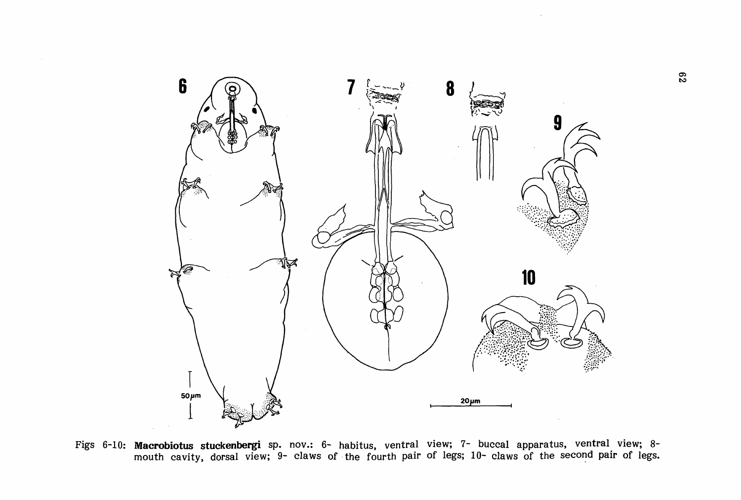

Figs 6-10: Macrobiotus stuckenbergi sp. nov.: 6- habitus, ventral view; 7- buccal apparatus, ventral view; 8 mouth cavity, dorsal view; 9- claws of the fourth pair of legs; 10- claws of the second pair of legs.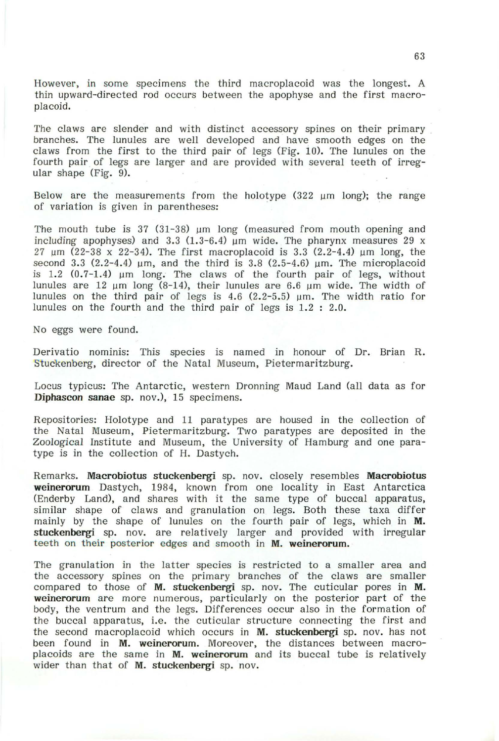However, in some specimens the third macroplacoid was the longest. A thin upward-directed rod occurs between the apophyse and the first macroplacoid.

The claws are slender and with distinct accessory spines on their primary branches. The lunules are well developed and have smooth edges on the claws from the first to the third pair of legs (Fig. 10). The lunules on the fourth pair of legs are larger and are provided with several teeth of irregular shape (Fig. 9).

Below are the measurements from the holotype  $(322 \text{ µm } long)$ ; the range of variation is given in parentheses:

The mouth tube is  $37 \times (31-38)$  µm long (measured from mouth opening and including apophyses) and 3.3 (1.3-6.4)  $\mu$ m wide. The pharynx measures 29 x 27  $\mu$ m (22-38 x 22-34). The first macroplacoid is 3.3 (2.2-4.4)  $\mu$ m long, the second 3.3 (2.2-4.4)  $\mu$ m, and the third is 3.8 (2.5-4.6)  $\mu$ m. The microplacoid is  $1.2$   $(0.7-1.4)$  µm long. The claws of the fourth pair of legs, without lunules are 12  $\mu$ m long (8-14), their lunules are 6.6  $\mu$ m wide. The width of lunules on the third pair of legs is  $4.6$  (2.2-5.5) µm. The width ratio for lunules on the fourth and the third pair of legs is 1.2 : 2.0.

No eggs were found.

Derivatio nominis: This species is named in honour of Dr. Brian R. Stuckenberg, director of the Natal Museum, Pietermaritzburg.

Locus typicus: The Antarctic, western Dronning Maud Land (all data as for Diphascon sanae sp. nov.), 15 specimens.

Repositories: Holotype and 11 para types are housed *in* the collection of the Natal Museum, Pietermaritzburg. Two paratypes are deposited in the Zoological Institute and Museum, the University of Hamburg and one paratype is in the collection of H. Dastych.

Remarks. Macrobiotus stuckenbergi sp. nov. closely resembles Macrobiotus weinerorum Dastych, 1984, known from one locality in East Antarctica (Enderby Land), and shares with it the same type of buccal apparatus, similar shape of claws and granulation on legs. Both these taxa differ mainly by the shape of lunules on the fourth pair of legs, which in M. stuckenbergi sp. nov. are relatively larger and provided with irregular teeth on their posterior edges and smooth in M. weinerorum.

The granulation in the latter species is restricted to a smaller area and the accessory spines on the primary branches of the claws are smaller compared to those of  $M$ . stuckenbergi sp. nov. The cuticular pores in  $M$ . weinerorum are more numerous, particularly on the posterior part of the body, the ventrum and the legs. Differences occur also in the formation of the buccal apparatus, i.e. the cuticular structure connecting the first and the second macroplacoid which occurs in M. stuckenbergi sp. nov. has not been found in M. weinerorum. Moreover, the distances between macroplacoids are the same in M. weinerorum and its buccal tube is relatively wider than that of M. stuckenbergi sp. nov.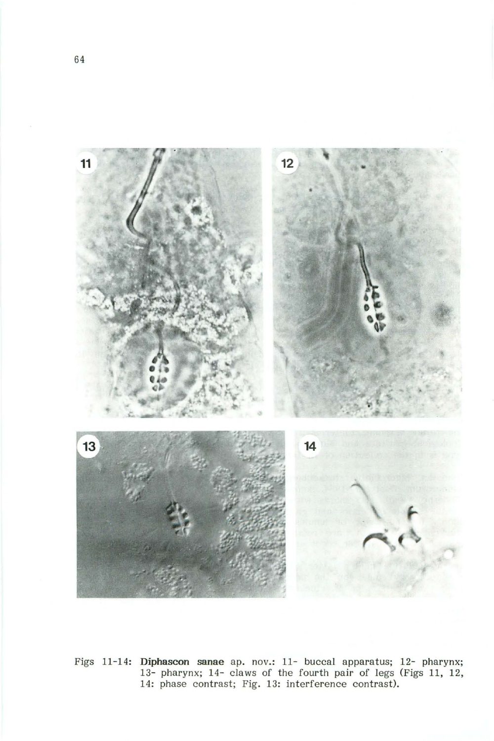

Figs 11-14: **Diphascon sanae** ap. nov.: 11- buccal apparatus; 12- pharynx; 13- pharynx; 14- claws of the fourth pair of legs (Figs 11, 12, 14: phase contrast; Fig. 13: interference contrast).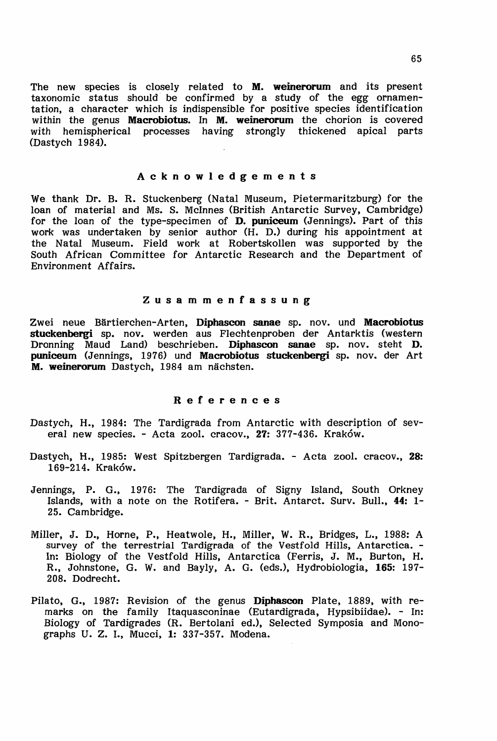The new species is closely related to M. weinerorum and its present taxonomic status should' be confirmed by a study of the egg ornamentation, a character which is indispensible for positive species identification within the genus Macrobiotus. In M. weinerorum the chorion is covered with hemispherical processes having strongly thickened apical parts (Dastych 1984).

### Acknowledgements

We thank Dr. B. R. Stuckenberg (Natal Museum, Pietermaritzburg) for the loan of material and Ms. S. McInnes (British Antarctic Survey, Cambridge) for the loan of the type-specimen of D. puniceum (Jennings). Part of this work was undertaken by senior author (H. D.) during his appointment at the Natal Museum. Field work at Robertskollen was supported by the South African Committee for Antarctic Research and the Department of Environment Affairs.

#### Zusammenfassung

Zwei neue Bärtierchen-Arten, Diphascon sanae sp. nov. und Macrobiotus stuckenbergi sp. nov. werden aus Flechtenproben der Antarktis (western Dronning Maud Land) beschrieben. Diphascon sanae sp. nov. steht D. puniceum (Jennings, 1976) und Macrobiotus stuckenbergi sp. nov. der Art M. weinerorum Dastych, 1984 am nächsten.

# References

- Dastych, H., 1984: The Tardigrada from Antarctic with description of several new species. - Acta zool. cracov., 27: 377-436. Kraków.
- Dastych, H., 1985: West Spitzbergen Tardigrada. Acta zool. cracov., 28: 169-214. Krakow.
- Jennings, P. G., 1976: The Tardigrada of Signy Island, South Orkney Islands, with a note on the Rotifera. - Brit. Antarct. Surv. Bull., 44: 1- 25. Cambridge.
- Miller, J. D., Horne, P., Heatwole, H., Miller, W. R., Bridges, L., 1988: A survey of the terrestrial Tardigrada of the Vestfold Hills, Antarctica. - In: Biology of the Vestfold Hills, Antarctica (Ferris, J. M., Burton, H. R., Johnstone, G. W. and Bayly, A. G. (eds.), Hydrobiologia, 165: 197-208. Dodrecht.
- Pilato, G., 1987: Revision of the genus Diphascon Plate, 1889, with remarks on the family Itaquasconinae (Eutardigrada, Hypsibiidae). - In: Biology of Tardigrades (R. Bertolani ed.), Selected Symposia and Monographs U. Z. I., Mucci, 1: 337-357. Modena.